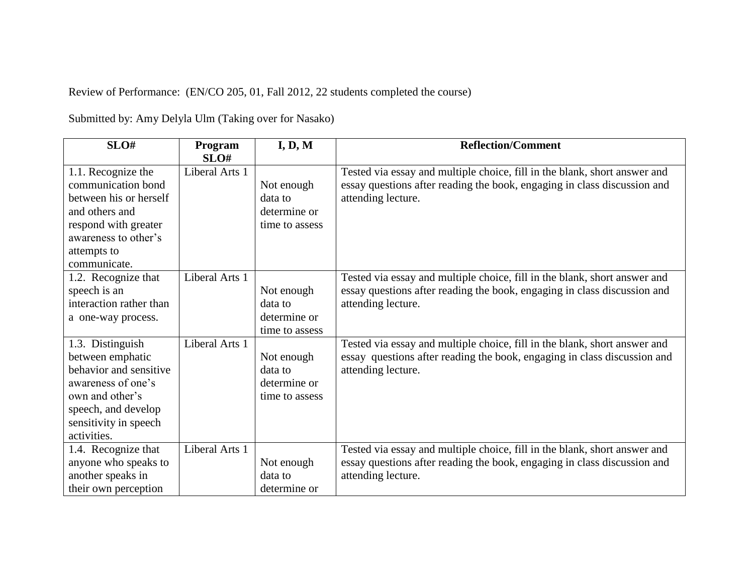Review of Performance: (EN/CO 205, 01, Fall 2012, 22 students completed the course)

Submitted by: Amy Delyla Ulm (Taking over for Nasako)

| SLO#                                                                                                                                                                   | Program        | I, D, M                                                 | <b>Reflection/Comment</b>                                                                                                                                                   |
|------------------------------------------------------------------------------------------------------------------------------------------------------------------------|----------------|---------------------------------------------------------|-----------------------------------------------------------------------------------------------------------------------------------------------------------------------------|
|                                                                                                                                                                        | SLO#           |                                                         |                                                                                                                                                                             |
| 1.1. Recognize the<br>communication bond<br>between his or herself<br>and others and<br>respond with greater<br>awareness to other's<br>attempts to<br>communicate.    | Liberal Arts 1 | Not enough<br>data to<br>determine or<br>time to assess | Tested via essay and multiple choice, fill in the blank, short answer and<br>essay questions after reading the book, engaging in class discussion and<br>attending lecture. |
| 1.2. Recognize that<br>speech is an<br>interaction rather than<br>a one-way process.                                                                                   | Liberal Arts 1 | Not enough<br>data to<br>determine or<br>time to assess | Tested via essay and multiple choice, fill in the blank, short answer and<br>essay questions after reading the book, engaging in class discussion and<br>attending lecture. |
| 1.3. Distinguish<br>between emphatic<br>behavior and sensitive<br>awareness of one's<br>own and other's<br>speech, and develop<br>sensitivity in speech<br>activities. | Liberal Arts 1 | Not enough<br>data to<br>determine or<br>time to assess | Tested via essay and multiple choice, fill in the blank, short answer and<br>essay questions after reading the book, engaging in class discussion and<br>attending lecture. |
| 1.4. Recognize that<br>anyone who speaks to<br>another speaks in<br>their own perception                                                                               | Liberal Arts 1 | Not enough<br>data to<br>determine or                   | Tested via essay and multiple choice, fill in the blank, short answer and<br>essay questions after reading the book, engaging in class discussion and<br>attending lecture. |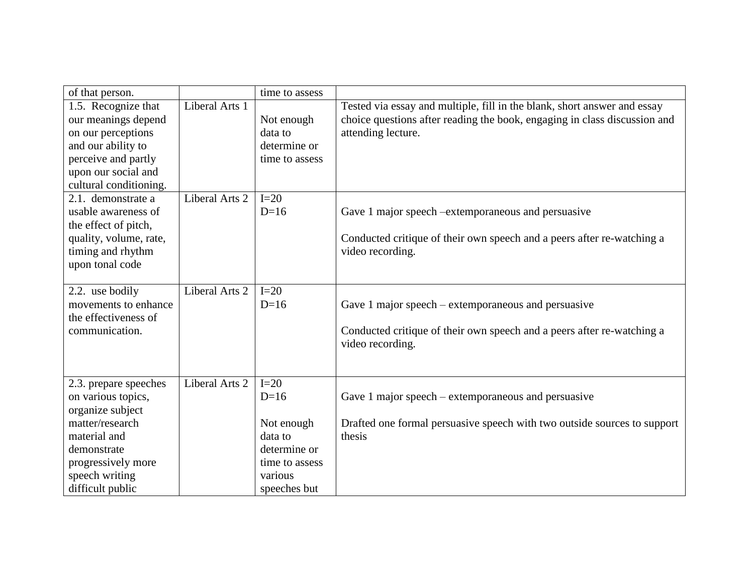| of that person.                                                                                                                                                |                | time to assess                                                              |                                                                                                                                                                             |
|----------------------------------------------------------------------------------------------------------------------------------------------------------------|----------------|-----------------------------------------------------------------------------|-----------------------------------------------------------------------------------------------------------------------------------------------------------------------------|
| 1.5. Recognize that<br>our meanings depend<br>on our perceptions<br>and our ability to<br>perceive and partly<br>upon our social and<br>cultural conditioning. | Liberal Arts 1 | Not enough<br>data to<br>determine or<br>time to assess                     | Tested via essay and multiple, fill in the blank, short answer and essay<br>choice questions after reading the book, engaging in class discussion and<br>attending lecture. |
| 2.1. demonstrate a<br>usable awareness of<br>the effect of pitch,<br>quality, volume, rate,<br>timing and rhythm<br>upon tonal code                            | Liberal Arts 2 | $I=20$<br>$D=16$                                                            | Gave 1 major speech – extemporaneous and persuasive<br>Conducted critique of their own speech and a peers after re-watching a<br>video recording.                           |
| 2.2. use bodily<br>movements to enhance<br>the effectiveness of<br>communication.                                                                              | Liberal Arts 2 | $I=20$<br>$D=16$                                                            | Gave 1 major speech – extemporaneous and persuasive<br>Conducted critique of their own speech and a peers after re-watching a<br>video recording.                           |
| 2.3. prepare speeches<br>on various topics,<br>organize subject<br>matter/research<br>material and<br>demonstrate<br>progressively more                        | Liberal Arts 2 | $I=20$<br>$D=16$<br>Not enough<br>data to<br>determine or<br>time to assess | Gave 1 major speech – extemporaneous and persuasive<br>Drafted one formal persuasive speech with two outside sources to support<br>thesis                                   |
| speech writing<br>difficult public                                                                                                                             |                | various<br>speeches but                                                     |                                                                                                                                                                             |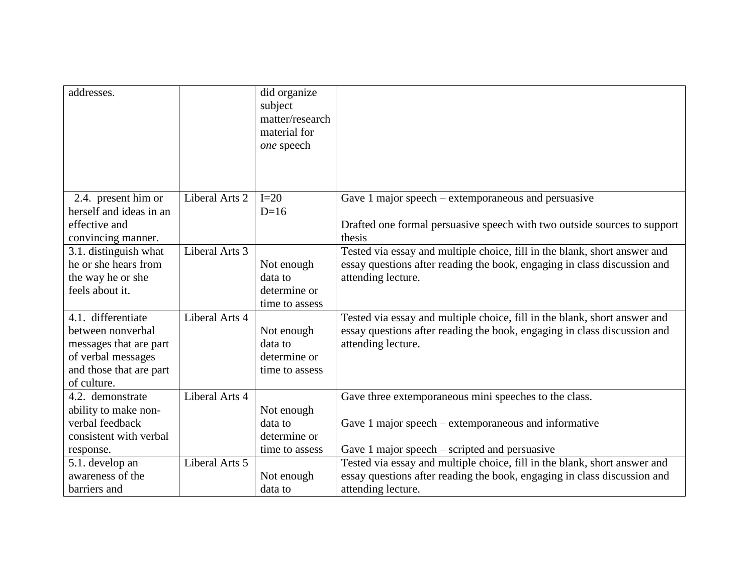| addresses.                              |                | did organize<br>subject<br>matter/research<br>material for<br>one speech |                                                                           |
|-----------------------------------------|----------------|--------------------------------------------------------------------------|---------------------------------------------------------------------------|
|                                         |                |                                                                          |                                                                           |
| 2.4. present him or                     | Liberal Arts 2 | $I=20$                                                                   | Gave 1 major speech – extemporaneous and persuasive                       |
| herself and ideas in an                 |                | $D=16$                                                                   |                                                                           |
| effective and                           |                |                                                                          | Drafted one formal persuasive speech with two outside sources to support  |
| convincing manner.                      |                |                                                                          | thesis                                                                    |
| 3.1. distinguish what                   | Liberal Arts 3 |                                                                          | Tested via essay and multiple choice, fill in the blank, short answer and |
| he or she hears from                    |                | Not enough                                                               | essay questions after reading the book, engaging in class discussion and  |
| the way he or she                       |                | data to                                                                  | attending lecture.                                                        |
| feels about it.                         |                | determine or                                                             |                                                                           |
|                                         |                | time to assess                                                           |                                                                           |
| 4.1. differentiate                      | Liberal Arts 4 |                                                                          | Tested via essay and multiple choice, fill in the blank, short answer and |
| between nonverbal                       |                | Not enough                                                               | essay questions after reading the book, engaging in class discussion and  |
| messages that are part                  |                | data to                                                                  | attending lecture.                                                        |
| of verbal messages                      |                | determine or                                                             |                                                                           |
| and those that are part<br>of culture.  |                | time to assess                                                           |                                                                           |
| 4.2. demonstrate                        | Liberal Arts 4 |                                                                          |                                                                           |
|                                         |                |                                                                          | Gave three extemporaneous mini speeches to the class.                     |
| ability to make non-<br>verbal feedback |                | Not enough<br>data to                                                    | Gave 1 major speech – extemporaneous and informative                      |
| consistent with verbal                  |                | determine or                                                             |                                                                           |
|                                         |                | time to assess                                                           | Gave 1 major speech $-$ scripted and persuasive                           |
| response.<br>5.1. develop an            | Liberal Arts 5 |                                                                          | Tested via essay and multiple choice, fill in the blank, short answer and |
| awareness of the                        |                |                                                                          | essay questions after reading the book, engaging in class discussion and  |
|                                         |                | Not enough                                                               |                                                                           |
| barriers and                            |                | data to                                                                  | attending lecture.                                                        |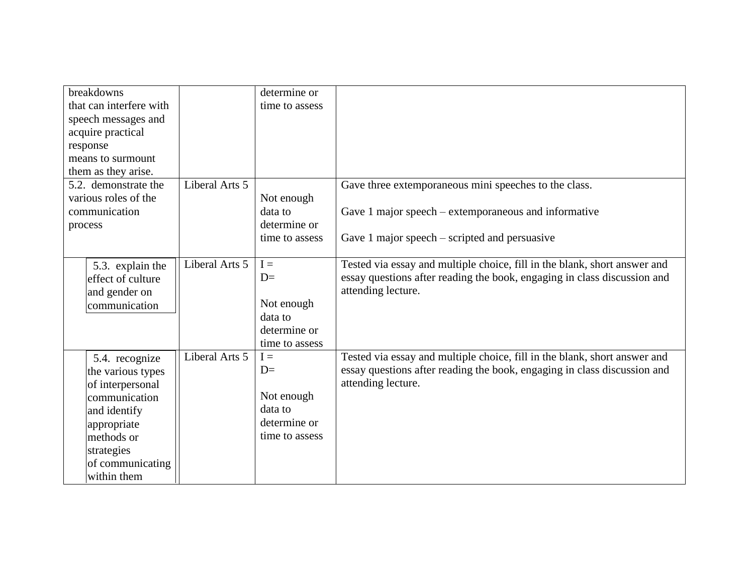| breakdowns              |                | determine or   |                                                                           |
|-------------------------|----------------|----------------|---------------------------------------------------------------------------|
| that can interfere with |                | time to assess |                                                                           |
| speech messages and     |                |                |                                                                           |
| acquire practical       |                |                |                                                                           |
| response                |                |                |                                                                           |
| means to surmount       |                |                |                                                                           |
| them as they arise.     |                |                |                                                                           |
| 5.2. demonstrate the    | Liberal Arts 5 |                | Gave three extemporaneous mini speeches to the class.                     |
| various roles of the    |                | Not enough     |                                                                           |
| communication           |                | data to        | Gave 1 major speech – extemporaneous and informative                      |
| process                 |                | determine or   |                                                                           |
|                         |                | time to assess | Gave 1 major speech $-$ scripted and persuasive                           |
|                         |                |                |                                                                           |
| 5.3. explain the        | Liberal Arts 5 | $I =$          | Tested via essay and multiple choice, fill in the blank, short answer and |
| effect of culture       |                | $D=$           | essay questions after reading the book, engaging in class discussion and  |
| and gender on           |                |                | attending lecture.                                                        |
| communication           |                | Not enough     |                                                                           |
|                         |                | data to        |                                                                           |
|                         |                | determine or   |                                                                           |
|                         |                | time to assess |                                                                           |
| 5.4. recognize          | Liberal Arts 5 | $I =$          | Tested via essay and multiple choice, fill in the blank, short answer and |
| the various types       |                | $D=$           | essay questions after reading the book, engaging in class discussion and  |
| of interpersonal        |                |                | attending lecture.                                                        |
| communication           |                | Not enough     |                                                                           |
| and identify            |                | data to        |                                                                           |
| appropriate             |                | determine or   |                                                                           |
| methods or              |                | time to assess |                                                                           |
| strategies              |                |                |                                                                           |
| of communicating        |                |                |                                                                           |
| within them             |                |                |                                                                           |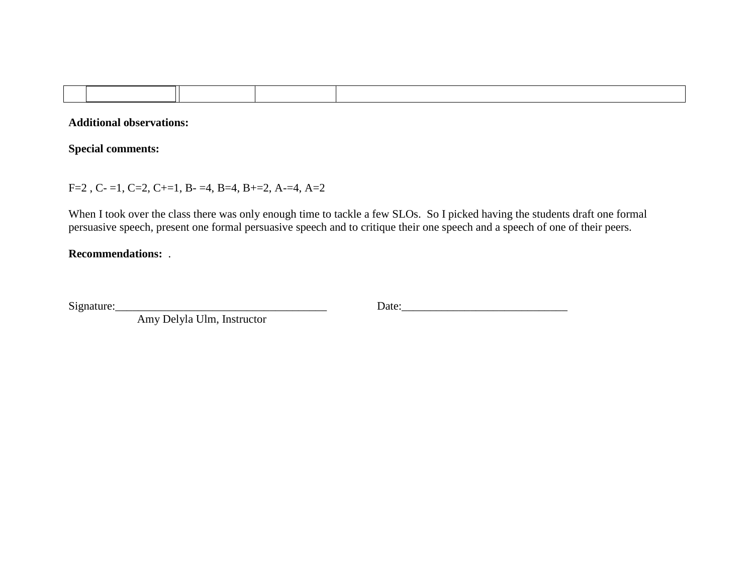**Additional observations:**

**Special comments:**

 $F=2$ ,  $C=1$ ,  $C=2$ ,  $C+=1$ ,  $B=-4$ ,  $B=4$ ,  $B=-2$ ,  $A=-4$ ,  $A=2$ 

When I took over the class there was only enough time to tackle a few SLOs. So I picked having the students draft one formal persuasive speech, present one formal persuasive speech and to critique their one speech and a speech of one of their peers.

## **Recommendations:** .

Amy Delyla Ulm, Instructor

Signature:\_\_\_\_\_\_\_\_\_\_\_\_\_\_\_\_\_\_\_\_\_\_\_\_\_\_\_\_\_\_\_\_\_\_\_\_\_ Date:\_\_\_\_\_\_\_\_\_\_\_\_\_\_\_\_\_\_\_\_\_\_\_\_\_\_\_\_\_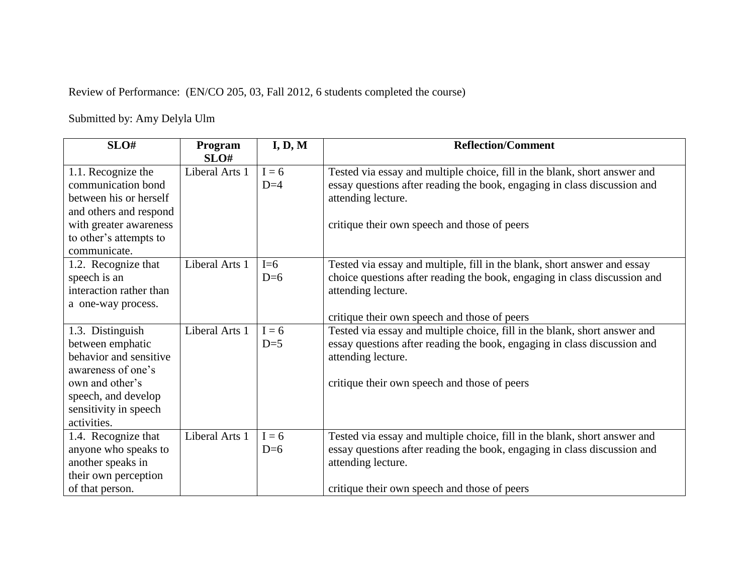Review of Performance: (EN/CO 205, 03, Fall 2012, 6 students completed the course)

Submitted by: Amy Delyla Ulm

| SLO#                                                                                                                                                                   | Program<br>SLO# | I, D, M          | <b>Reflection/Comment</b>                                                                                                                                                                                                   |
|------------------------------------------------------------------------------------------------------------------------------------------------------------------------|-----------------|------------------|-----------------------------------------------------------------------------------------------------------------------------------------------------------------------------------------------------------------------------|
| 1.1. Recognize the<br>communication bond<br>between his or herself<br>and others and respond<br>with greater awareness<br>to other's attempts to<br>communicate.       | Liberal Arts 1  | $I = 6$<br>$D=4$ | Tested via essay and multiple choice, fill in the blank, short answer and<br>essay questions after reading the book, engaging in class discussion and<br>attending lecture.<br>critique their own speech and those of peers |
| 1.2. Recognize that<br>speech is an<br>interaction rather than<br>a one-way process.                                                                                   | Liberal Arts 1  | $I=6$<br>$D=6$   | Tested via essay and multiple, fill in the blank, short answer and essay<br>choice questions after reading the book, engaging in class discussion and<br>attending lecture.<br>critique their own speech and those of peers |
| 1.3. Distinguish<br>between emphatic<br>behavior and sensitive<br>awareness of one's<br>own and other's<br>speech, and develop<br>sensitivity in speech<br>activities. | Liberal Arts 1  | $I = 6$<br>$D=5$ | Tested via essay and multiple choice, fill in the blank, short answer and<br>essay questions after reading the book, engaging in class discussion and<br>attending lecture.<br>critique their own speech and those of peers |
| 1.4. Recognize that<br>anyone who speaks to<br>another speaks in<br>their own perception<br>of that person.                                                            | Liberal Arts 1  | $I = 6$<br>$D=6$ | Tested via essay and multiple choice, fill in the blank, short answer and<br>essay questions after reading the book, engaging in class discussion and<br>attending lecture.<br>critique their own speech and those of peers |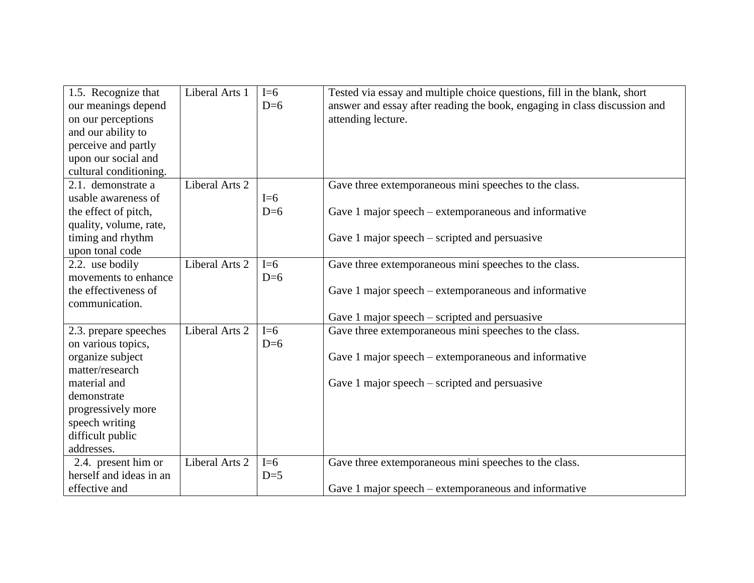| 1.5. Recognize that<br>our meanings depend<br>on our perceptions<br>and our ability to<br>perceive and partly<br>upon our social and<br>cultural conditioning. | Liberal Arts 1 | $I=6$<br>$D=6$ | Tested via essay and multiple choice questions, fill in the blank, short<br>answer and essay after reading the book, engaging in class discussion and<br>attending lecture. |
|----------------------------------------------------------------------------------------------------------------------------------------------------------------|----------------|----------------|-----------------------------------------------------------------------------------------------------------------------------------------------------------------------------|
| 2.1. demonstrate a                                                                                                                                             | Liberal Arts 2 |                | Gave three extemporaneous mini speeches to the class.                                                                                                                       |
| usable awareness of                                                                                                                                            |                | $I=6$          |                                                                                                                                                                             |
| the effect of pitch,                                                                                                                                           |                | $D=6$          | Gave 1 major speech – extemporaneous and informative                                                                                                                        |
| quality, volume, rate,                                                                                                                                         |                |                |                                                                                                                                                                             |
| timing and rhythm                                                                                                                                              |                |                | Gave 1 major speech $-$ scripted and persuasive                                                                                                                             |
| upon tonal code<br>2.2. use bodily                                                                                                                             | Liberal Arts 2 | $I=6$          |                                                                                                                                                                             |
| movements to enhance                                                                                                                                           |                | $D=6$          | Gave three extemporaneous mini speeches to the class.                                                                                                                       |
| the effectiveness of                                                                                                                                           |                |                | Gave 1 major speech – extemporaneous and informative                                                                                                                        |
| communication.                                                                                                                                                 |                |                |                                                                                                                                                                             |
|                                                                                                                                                                |                |                | Gave 1 major speech $-$ scripted and persuasive                                                                                                                             |
| 2.3. prepare speeches                                                                                                                                          | Liberal Arts 2 | $I=6$          | Gave three extemporaneous mini speeches to the class.                                                                                                                       |
| on various topics,                                                                                                                                             |                | $D=6$          |                                                                                                                                                                             |
| organize subject                                                                                                                                               |                |                | Gave 1 major speech – extemporaneous and informative                                                                                                                        |
| matter/research                                                                                                                                                |                |                |                                                                                                                                                                             |
| material and                                                                                                                                                   |                |                | Gave 1 major speech $-$ scripted and persuasive                                                                                                                             |
| demonstrate                                                                                                                                                    |                |                |                                                                                                                                                                             |
| progressively more                                                                                                                                             |                |                |                                                                                                                                                                             |
| speech writing                                                                                                                                                 |                |                |                                                                                                                                                                             |
| difficult public                                                                                                                                               |                |                |                                                                                                                                                                             |
| addresses.                                                                                                                                                     |                |                |                                                                                                                                                                             |
| 2.4. present him or                                                                                                                                            | Liberal Arts 2 | $I=6$          | Gave three extemporaneous mini speeches to the class.                                                                                                                       |
| herself and ideas in an                                                                                                                                        |                | $D=5$          |                                                                                                                                                                             |
| effective and                                                                                                                                                  |                |                | Gave 1 major speech – extemporaneous and informative                                                                                                                        |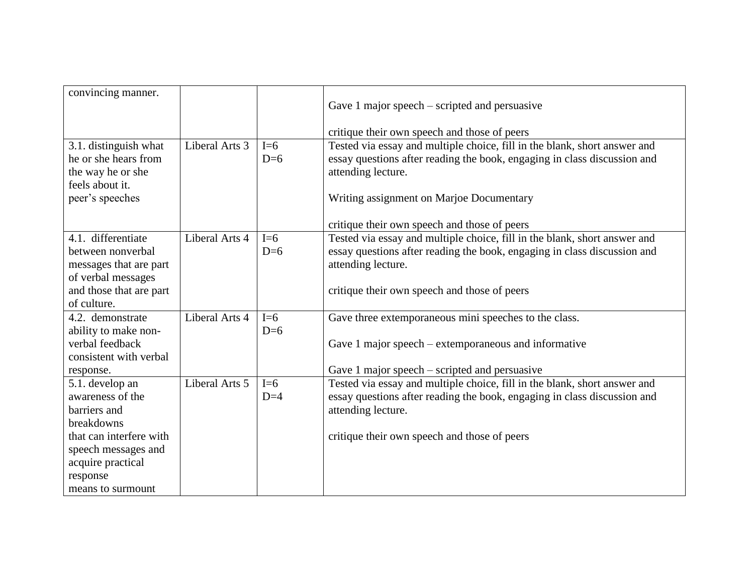| convincing manner.      |                |       |                                                                           |
|-------------------------|----------------|-------|---------------------------------------------------------------------------|
|                         |                |       | Gave 1 major speech $-$ scripted and persuasive                           |
|                         |                |       |                                                                           |
|                         |                |       | critique their own speech and those of peers                              |
| 3.1. distinguish what   | Liberal Arts 3 | $I=6$ | Tested via essay and multiple choice, fill in the blank, short answer and |
| he or she hears from    |                | $D=6$ | essay questions after reading the book, engaging in class discussion and  |
| the way he or she       |                |       | attending lecture.                                                        |
| feels about it.         |                |       |                                                                           |
| peer's speeches         |                |       | Writing assignment on Marjoe Documentary                                  |
|                         |                |       | critique their own speech and those of peers                              |
| 4.1. differentiate      | Liberal Arts 4 | $I=6$ | Tested via essay and multiple choice, fill in the blank, short answer and |
| between nonverbal       |                | $D=6$ | essay questions after reading the book, engaging in class discussion and  |
| messages that are part  |                |       | attending lecture.                                                        |
| of verbal messages      |                |       |                                                                           |
| and those that are part |                |       | critique their own speech and those of peers                              |
| of culture.             |                |       |                                                                           |
| 4.2. demonstrate        | Liberal Arts 4 | $I=6$ | Gave three extemporaneous mini speeches to the class.                     |
| ability to make non-    |                | $D=6$ |                                                                           |
| verbal feedback         |                |       | Gave 1 major speech – extemporaneous and informative                      |
| consistent with verbal  |                |       |                                                                           |
| response.               |                |       | Gave 1 major speech – scripted and persuasive                             |
| 5.1. develop an         | Liberal Arts 5 | $I=6$ | Tested via essay and multiple choice, fill in the blank, short answer and |
| awareness of the        |                | $D=4$ | essay questions after reading the book, engaging in class discussion and  |
| barriers and            |                |       | attending lecture.                                                        |
| breakdowns              |                |       |                                                                           |
| that can interfere with |                |       | critique their own speech and those of peers                              |
| speech messages and     |                |       |                                                                           |
| acquire practical       |                |       |                                                                           |
| response                |                |       |                                                                           |
| means to surmount       |                |       |                                                                           |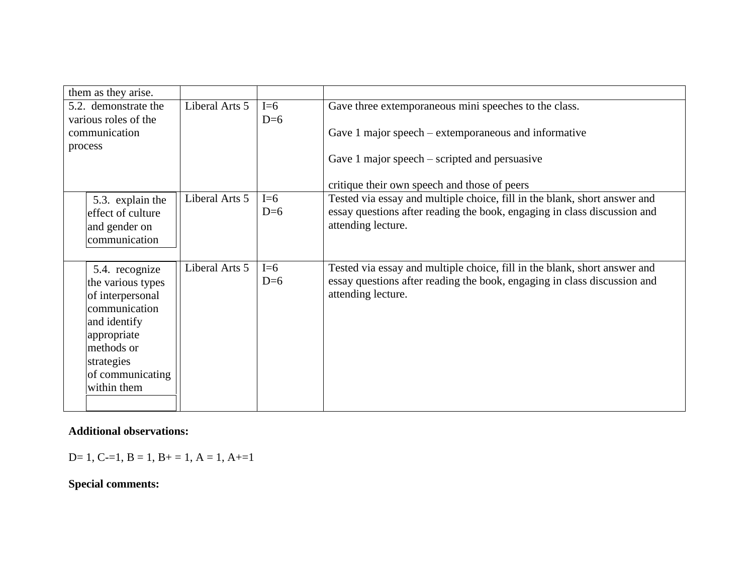| them as they arise.  |                |       |                                                                           |
|----------------------|----------------|-------|---------------------------------------------------------------------------|
| 5.2. demonstrate the | Liberal Arts 5 | $I=6$ | Gave three extemporaneous mini speeches to the class.                     |
| various roles of the |                | $D=6$ |                                                                           |
| communication        |                |       | Gave 1 major speech – extemporaneous and informative                      |
| process              |                |       |                                                                           |
|                      |                |       | Gave 1 major speech $-$ scripted and persuasive                           |
|                      |                |       | critique their own speech and those of peers                              |
| 5.3. explain the     | Liberal Arts 5 | $I=6$ | Tested via essay and multiple choice, fill in the blank, short answer and |
| effect of culture    |                | $D=6$ | essay questions after reading the book, engaging in class discussion and  |
| and gender on        |                |       | attending lecture.                                                        |
| communication        |                |       |                                                                           |
|                      |                |       |                                                                           |
| 5.4. recognize       | Liberal Arts 5 | $I=6$ | Tested via essay and multiple choice, fill in the blank, short answer and |
| the various types    |                | $D=6$ | essay questions after reading the book, engaging in class discussion and  |
| of interpersonal     |                |       | attending lecture.                                                        |
| communication        |                |       |                                                                           |
| and identify         |                |       |                                                                           |
| appropriate          |                |       |                                                                           |
| methods or           |                |       |                                                                           |
| strategies           |                |       |                                                                           |
| of communicating     |                |       |                                                                           |
| within them          |                |       |                                                                           |
|                      |                |       |                                                                           |

## **Additional observations:**

D= 1, C-=1, B = 1, B + = 1, A = 1, A + = 1

## **Special comments:**